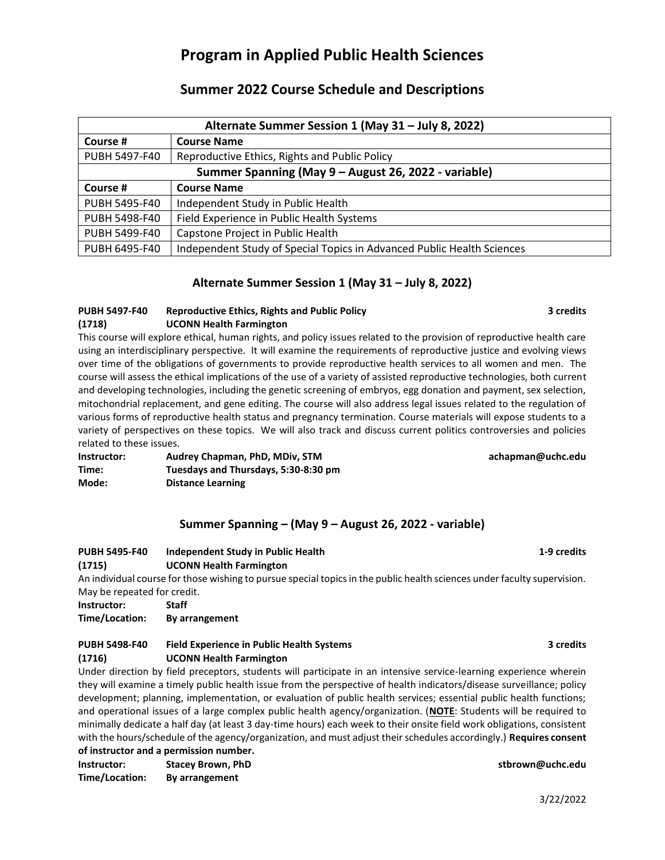# **Program in Applied Public Health Sciences**

# **Summer 2022 Course Schedule and Descriptions**

| Alternate Summer Session 1 (May 31 - July 8, 2022)   |                                                                        |  |  |
|------------------------------------------------------|------------------------------------------------------------------------|--|--|
| Course #                                             | <b>Course Name</b>                                                     |  |  |
| PUBH 5497-F40                                        | Reproductive Ethics, Rights and Public Policy                          |  |  |
| Summer Spanning (May 9 - August 26, 2022 - variable) |                                                                        |  |  |
| Course #                                             | <b>Course Name</b>                                                     |  |  |
| PUBH 5495-F40                                        | Independent Study in Public Health                                     |  |  |
| PUBH 5498-F40                                        | Field Experience in Public Health Systems                              |  |  |
| PUBH 5499-F40                                        | Capstone Project in Public Health                                      |  |  |
| PUBH 6495-F40                                        | Independent Study of Special Topics in Advanced Public Health Sciences |  |  |

## **Alternate Summer Session 1 (May 31 – July 8, 2022)**

## **PUBH 5497-F40 Reproductive Ethics, Rights and Public Policy 3 credits (1718) UCONN Health Farmington**

This course will explore ethical, human rights, and policy issues related to the provision of reproductive health care using an interdisciplinary perspective. It will examine the requirements of reproductive justice and evolving views over time of the obligations of governments to provide reproductive health services to all women and men. The course will assess the ethical implications of the use of a variety of assisted reproductive technologies, both current and developing technologies, including the genetic screening of embryos, egg donation and payment, sex selection, mitochondrial replacement, and gene editing. The course will also address legal issues related to the regulation of various forms of reproductive health status and pregnancy termination. Course materials will expose students to a variety of perspectives on these topics. We will also track and discuss current politics controversies and policies related to these issues.

**Instructor: Audrey Chapman, PhD, MDiv, STM achapman@uchc.edu Time: Tuesdays and Thursdays, 5:30-8:30 pm Mode: Distance Learning**

# **Summer Spanning – (May 9 – August 26, 2022 - variable)**

#### **PUBH 5495-F40 Independent Study in Public Health 1-9 credits (1715) UCONN Health Farmington**

An individual course for those wishing to pursue special topics in the public health sciences under faculty supervision. May be repeated for credit.

**Instructor: Staff**

**Time/Location: By arrangement**

## **PUBH 5498-F40 Field Experience in Public Health Systems 3 credits (1716) UCONN Health Farmington**

Under direction by field preceptors, students will participate in an intensive service-learning experience wherein they will examine a timely public health issue from the perspective of health indicators/disease surveillance; policy development; planning, implementation, or evaluation of public health services; essential public health functions; and operational issues of a large complex public health agency/organization. (**NOTE**: Students will be required to minimally dedicate a half day (at least 3 day-time hours) each week to their onsite field work obligations, consistent with the hours/schedule of the agency/organization, and must adjust their schedules accordingly.) **Requires consent of instructor and a permission number.**

**Instructor: Stacey Brown, PhD stbrown@uchc.edu Time/Location: By arrangement**